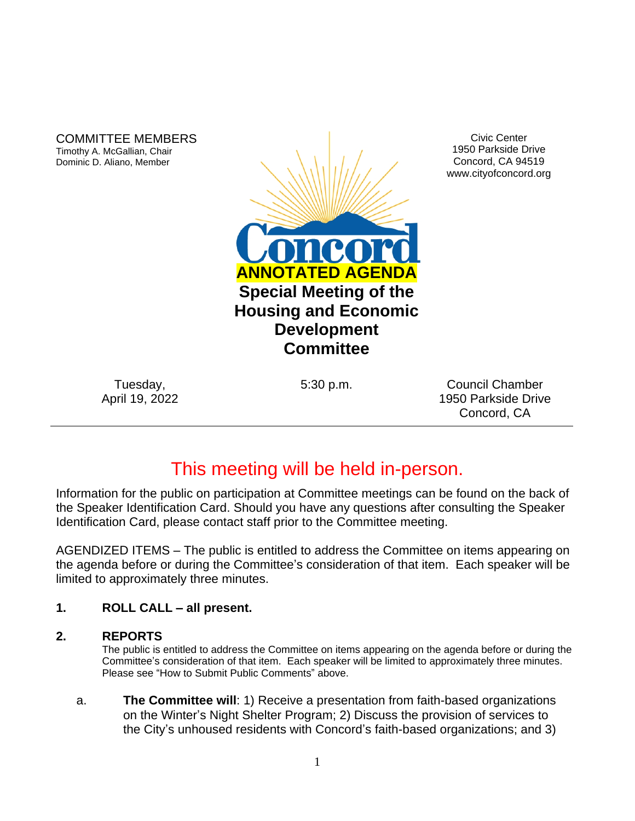COMMITTEE MEMBERS Timothy A. McGallian, Chair Dominic D. Aliano, Member



Civic Center 1950 Parkside Drive Concord, CA 94519 www.cityofconcord.org

Tuesday, April 19, 2022

5:30 p.m. Council Chamber 1950 Parkside Drive Concord, CA

# This meeting will be held in-person.

Information for the public on participation at Committee meetings can be found on the back of the Speaker Identification Card. Should you have any questions after consulting the Speaker Identification Card, please contact staff prior to the Committee meeting.

AGENDIZED ITEMS – The public is entitled to address the Committee on items appearing on the agenda before or during the Committee's consideration of that item. Each speaker will be limited to approximately three minutes.

### **1. ROLL CALL – all present.**

#### **2. REPORTS**

The public is entitled to address the Committee on items appearing on the agenda before or during the Committee's consideration of that item. Each speaker will be limited to approximately three minutes. Please see "How to Submit Public Comments" above.

a. **The Committee will**: 1) Receive a presentation from faith-based organizations on the Winter's Night Shelter Program; 2) Discuss the provision of services to the City's unhoused residents with Concord's faith-based organizations; and 3)